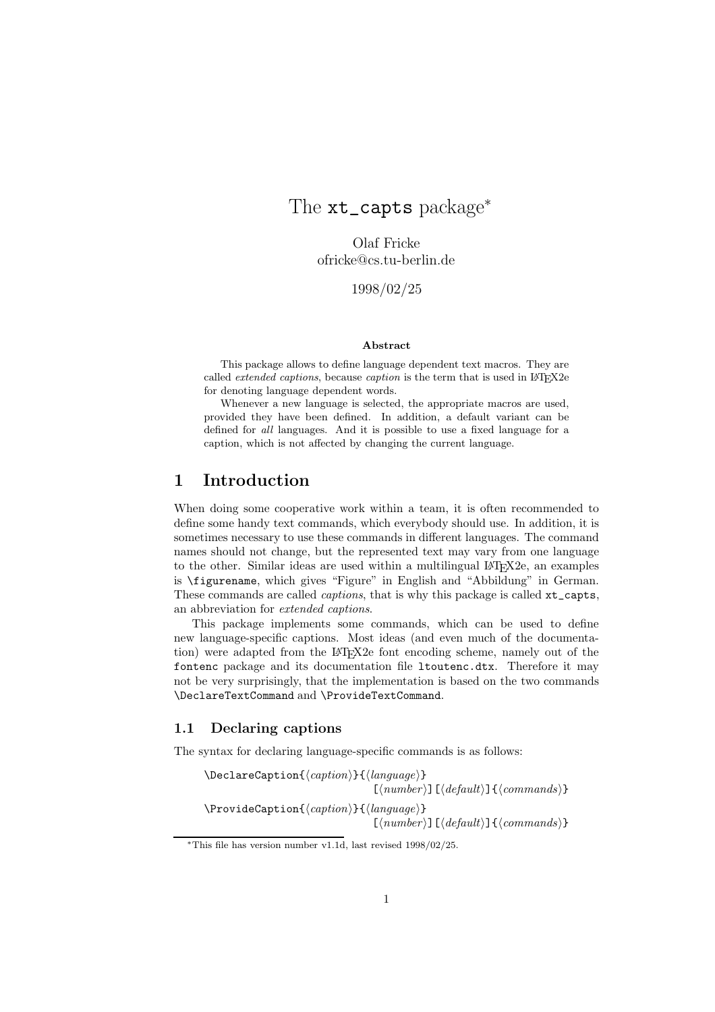# The xt\_capts package<sup>\*</sup>

Olaf Fricke ofricke@cs.tu-berlin.de

1998/02/25

#### **Abstract**

This package allows to define language dependent text macros. They are called *extended captions*, because *caption* is the term that is used in LAT<sub>E</sub>X2e for denoting language dependent words.

Whenever a new language is selected, the appropriate macros are used, provided they have been defined. In addition, a default variant can be defined for *all* languages. And it is possible to use a fixed language for a caption, which is not affected by changing the current language.

# **1 Introduction**

When doing some cooperative work within a team, it is often recommended to define some handy text commands, which everybody should use. In addition, it is sometimes necessary to use these commands in different languages. The command names should not change, but the represented text may vary from one language to the other. Similar ideas are used within a multilingual  $\text{LFT} \times 2e$ , an examples is \figurename, which gives "Figure" in English and "Abbildung" in German. These commands are called *captions*, that is why this package is called xt\_capts, an abbreviation for *extended captions*.

This package implements some commands, which can be used to define new language-specific captions. Most ideas (and even much of the documentation) were adapted from the LAT<sub>EX</sub>2e font encoding scheme, namely out of the fontenc package and its documentation file ltoutenc.dtx. Therefore it may not be very surprisingly, that the implementation is based on the two commands \DeclareTextCommand and \ProvideTextCommand.

#### **1.1 Declaring captions**

The syntax for declaring language-specific commands is as follows:

\DeclareCaption{*caption*}{*language*}  $[\langle number \rangle]$  $[\langle default \rangle]$  $\{ \langle commands \rangle\}$ \ProvideCaption{*caption*}{*language*}  $\lceil \langle number \rangle \rceil \lceil \langle default \rangle \rceil \{\langle commands \rangle\}$ 

<sup>∗</sup>This file has version number v1.1d, last revised 1998/02/25.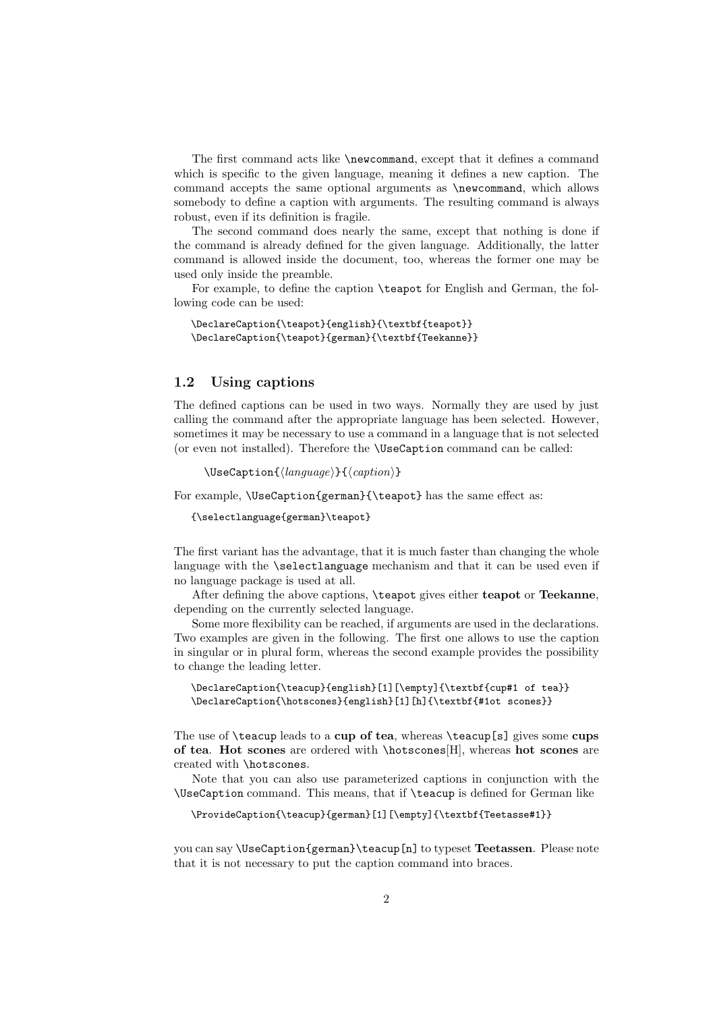The first command acts like \newcommand, except that it defines a command which is specific to the given language, meaning it defines a new caption. The command accepts the same optional arguments as \newcommand, which allows somebody to define a caption with arguments. The resulting command is always robust, even if its definition is fragile.

The second command does nearly the same, except that nothing is done if the command is already defined for the given language. Additionally, the latter command is allowed inside the document, too, whereas the former one may be used only inside the preamble.

For example, to define the caption \teapot for English and German, the following code can be used:

\DeclareCaption{\teapot}{english}{\textbf{teapot}} \DeclareCaption{\teapot}{german}{\textbf{Teekanne}}

#### **1.2 Using captions**

The defined captions can be used in two ways. Normally they are used by just calling the command after the appropriate language has been selected. However, sometimes it may be necessary to use a command in a language that is not selected (or even not installed). Therefore the \UseCaption command can be called:

\UseCaption{*language*}{*caption*}

For example, \UseCaption{german}{\teapot} has the same effect as:

{\selectlanguage{german}\teapot}

The first variant has the advantage, that it is much faster than changing the whole language with the **\selectlanguage** mechanism and that it can be used even if no language package is used at all.

After defining the above captions, \teapot gives either **teapot** or **Teekanne**, depending on the currently selected language.

Some more flexibility can be reached, if arguments are used in the declarations. Two examples are given in the following. The first one allows to use the caption in singular or in plural form, whereas the second example provides the possibility to change the leading letter.

```
\DeclareCaption{\teacup}{english}[1][\empty]{\textbf{cup#1 of tea}}
\DeclareCaption{\hotscones}{english}[1][h]{\textbf{#1ot scones}}
```
The use of \teacup leads to a **cup of tea**, whereas \teacup[s] gives some **cups of tea**. **Hot scones** are ordered with \hotscones[H], whereas **hot scones** are created with \hotscones.

Note that you can also use parameterized captions in conjunction with the \UseCaption command. This means, that if \teacup is defined for German like

\ProvideCaption{\teacup}{german}[1][\empty]{\textbf{Teetasse#1}}

you can say \UseCaption{german}\teacup[n] to typeset **Teetassen**. Please note that it is not necessary to put the caption command into braces.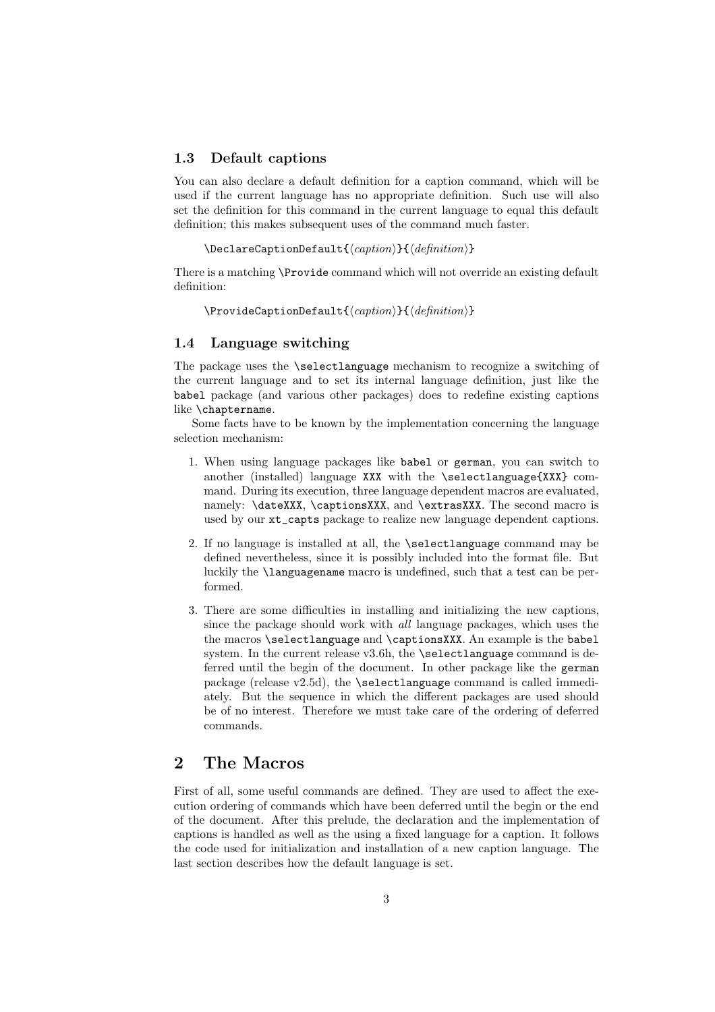#### **1.3 Default captions**

You can also declare a default definition for a caption command, which will be used if the current language has no appropriate definition. Such use will also set the definition for this command in the current language to equal this default definition; this makes subsequent uses of the command much faster.

```
\DeclareCaptionDefault{caption}{definition}
```
There is a matching \Provide command which will not override an existing default definition:

```
\ProvideCaptionDefault{caption}{definition}
```
### **1.4 Language switching**

The package uses the \selectlanguage mechanism to recognize a switching of the current language and to set its internal language definition, just like the babel package (and various other packages) does to redefine existing captions like \chaptername.

Some facts have to be known by the implementation concerning the language selection mechanism:

- 1. When using language packages like babel or german, you can switch to another (installed) language XXX with the \selectlanguage{XXX} command. During its execution, three language dependent macros are evaluated, namely: \dateXXX, \captionsXXX, and \extrasXXX. The second macro is used by our xt\_capts package to realize new language dependent captions.
- 2. If no language is installed at all, the \selectlanguage command may be defined nevertheless, since it is possibly included into the format file. But luckily the \languagename macro is undefined, such that a test can be performed.
- 3. There are some difficulties in installing and initializing the new captions, since the package should work with *all* language packages, which uses the the macros \selectlanguage and \captionsXXX. An example is the babel system. In the current release v3.6h, the  $\setminus$  selectlanguage command is deferred until the begin of the document. In other package like the german package (release v2.5d), the \selectlanguage command is called immediately. But the sequence in which the different packages are used should be of no interest. Therefore we must take care of the ordering of deferred commands.

# **2 The Macros**

First of all, some useful commands are defined. They are used to affect the execution ordering of commands which have been deferred until the begin or the end of the document. After this prelude, the declaration and the implementation of captions is handled as well as the using a fixed language for a caption. It follows the code used for initialization and installation of a new caption language. The last section describes how the default language is set.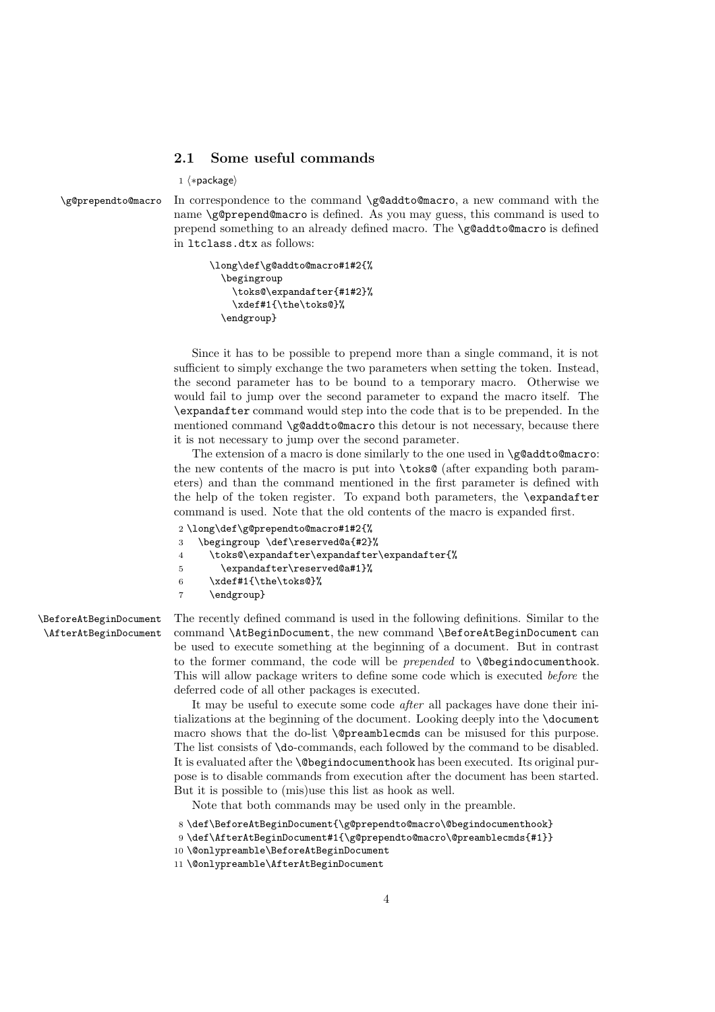#### **2.1 Some useful commands**

 $1 \langle * \textsf{package} \rangle$ 

\g@prependto@macro In correspondence to the command \g@addto@macro, a new command with the name \g@prepend@macro is defined. As you may guess, this command is used to prepend something to an already defined macro. The \g@addto@macro is defined in ltclass.dtx as follows:

```
\long\def\g@addto@macro#1#2{%
 \begingroup
   \toks@\expandafter{#1#2}%
    \xdef#1{\the\toks@}%
 \endgroup}
```
Since it has to be possible to prepend more than a single command, it is not sufficient to simply exchange the two parameters when setting the token. Instead, the second parameter has to be bound to a temporary macro. Otherwise we would fail to jump over the second parameter to expand the macro itself. The \expandafter command would step into the code that is to be prepended. In the mentioned command \g@addto@macro this detour is not necessary, because there it is not necessary to jump over the second parameter.

The extension of a macro is done similarly to the one used in  $\gtrsim$  @addto@macro: the new contents of the macro is put into \toks@ (after expanding both parameters) and than the command mentioned in the first parameter is defined with the help of the token register. To expand both parameters, the \expandafter command is used. Note that the old contents of the macro is expanded first.

```
2 \long\def\g@prependto@macro#1#2{%
3 \begingroup \def\reserved@a{#2}%
4 \toks@\expandafter\expandafter\expandafter{%
5 \expandafter\reserved@a#1}%
6 \xdef#1{\the\toks@}%
7 \endgroup}
```
\BeforeAtBeginDocument \AfterAtBeginDocument The recently defined command is used in the following definitions. Similar to the command \AtBeginDocument, the new command \BeforeAtBeginDocument can be used to execute something at the beginning of a document. But in contrast to the former command, the code will be *prepended* to **\@begindocumenthook**. This will allow package writers to define some code which is executed *before* the deferred code of all other packages is executed.

It may be useful to execute some code *after* all packages have done their initializations at the beginning of the document. Looking deeply into the \document macro shows that the do-list \@preamblecmds can be misused for this purpose. The list consists of \do-commands, each followed by the command to be disabled. It is evaluated after the \@begindocumenthook has been executed. Its original purpose is to disable commands from execution after the document has been started. But it is possible to (mis)use this list as hook as well.

Note that both commands may be used only in the preamble.

- 8 \def\BeforeAtBeginDocument{\g@prependto@macro\@begindocumenthook}
- 9 \def\AfterAtBeginDocument#1{\g@prependto@macro\@preamblecmds{#1}}
- 10 \@onlypreamble\BeforeAtBeginDocument

<sup>11</sup> \@onlypreamble\AfterAtBeginDocument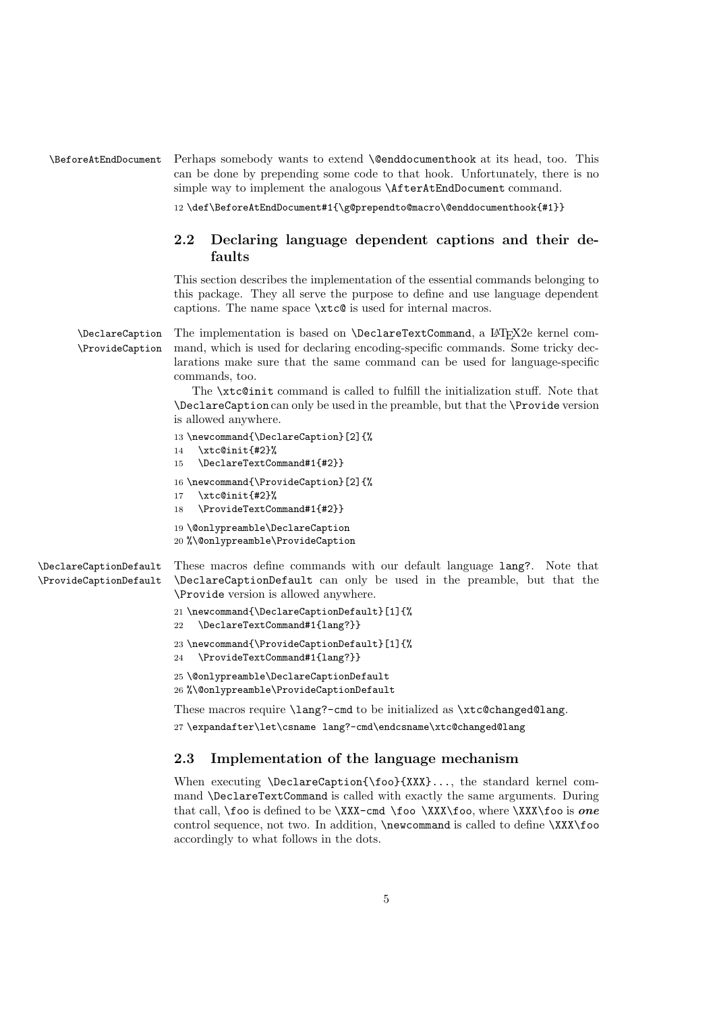\BeforeAtEndDocument Perhaps somebody wants to extend \@enddocumenthook at its head, too. This can be done by prepending some code to that hook. Unfortunately, there is no simple way to implement the analogous \AfterAtEndDocument command.

12 \def\BeforeAtEndDocument#1{\g@prependto@macro\@enddocumenthook{#1}}

## **2.2 Declaring language dependent captions and their defaults**

This section describes the implementation of the essential commands belonging to this package. They all serve the purpose to define and use language dependent captions. The name space \xtc@ is used for internal macros.

\DeclareCaption \ProvideCaption The implementation is based on **\DeclareTextCommand**, a L<sup>AT</sup>FX2e kernel command, which is used for declaring encoding-specific commands. Some tricky declarations make sure that the same command can be used for language-specific commands, too.

> The \xtc@init command is called to fulfill the initialization stuff. Note that \DeclareCaption can only be used in the preamble, but that the \Provide version is allowed anywhere.

```
13 \newcommand{\DeclareCaption}[2]{%
                        14 \xtc@init{#2}%
                        15 \DeclareTextCommand#1{#2}}
                        16 \newcommand{\ProvideCaption}[2]{%
                        17 \xtc@init{#2}%
                        18 \ProvideTextCommand#1{#2}}
                        19 \@onlypreamble\DeclareCaption
                        20 %\@onlypreamble\ProvideCaption
\DeclareCaptionDefault
\ProvideCaptionDefault
                        These macros define commands with our default language lang?. Note that
                        \DeclareCaptionDefault can only be used in the preamble, but that the
                        \Provide version is allowed anywhere.
                        21 \newcommand{\DeclareCaptionDefault}[1]{%
                        22 \DeclareTextCommand#1{lang?}}
                        23 \newcommand{\ProvideCaptionDefault}[1]{%
                        24 \ProvideTextCommand#1{lang?}}
                        25 \@onlypreamble\DeclareCaptionDefault
                        26 %\@onlypreamble\ProvideCaptionDefault
                        These macros require \lang?-cmd to be initialized as \xtc@changed@lang.
```
27 \expandafter\let\csname lang?-cmd\endcsname\xtc@changed@lang

## **2.3 Implementation of the language mechanism**

When executing \DeclareCaption{\foo}{XXX}..., the standard kernel command \DeclareTextCommand is called with exactly the same arguments. During that call, \foo is defined to be \XXX-cmd \foo \XXX\foo, where \XXX\foo is *one* control sequence, not two. In addition, \newcommand is called to define \XXX\foo accordingly to what follows in the dots.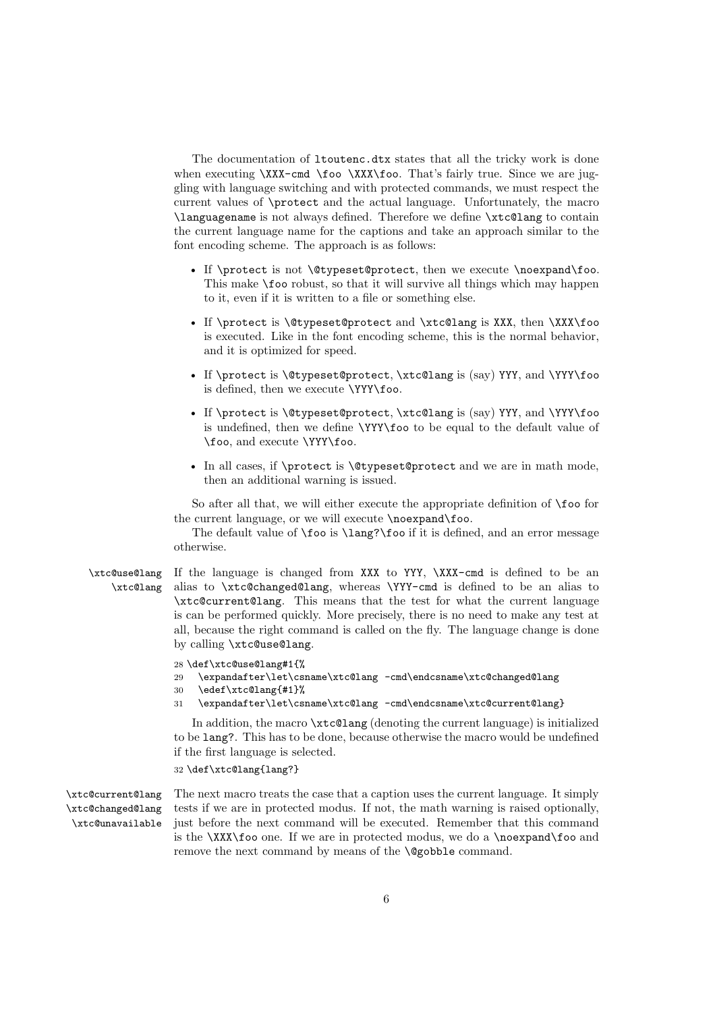The documentation of ltoutenc.dtx states that all the tricky work is done when executing \XXX-cmd \foo \XXX\foo. That's fairly true. Since we are juggling with language switching and with protected commands, we must respect the current values of \protect and the actual language. Unfortunately, the macro \languagename is not always defined. Therefore we define \xtc@lang to contain the current language name for the captions and take an approach similar to the font encoding scheme. The approach is as follows:

- If \protect is not \@typeset@protect, then we execute \noexpand\foo. This make  $\text{10}$  robust, so that it will survive all things which may happen to it, even if it is written to a file or something else.
- If \protect is \@typeset@protect and \xtc@lang is XXX, then \XXX\foo is executed. Like in the font encoding scheme, this is the normal behavior, and it is optimized for speed.
- If \protect is \@typeset@protect, \xtc@lang is (say) YYY, and \YYY\foo is defined, then we execute \YYY\foo.
- If \protect is \@typeset@protect, \xtc@lang is (say) YYY, and \YYY\foo is undefined, then we define \YYY\foo to be equal to the default value of \foo, and execute \YYY\foo.
- In all cases, if \protect is \@typeset@protect and we are in math mode, then an additional warning is issued.

So after all that, we will either execute the appropriate definition of \foo for the current language, or we will execute \noexpand\foo.

The default value of \foo is \lang?\foo if it is defined, and an error message otherwise.

\xtc@use@lang If the language is changed from XXX to YYY, \XXX-cmd is defined to be an \xtc@lang alias to \xtc@changed@lang, whereas \YYY-cmd is defined to be an alias to \xtc@current@lang. This means that the test for what the current language is can be performed quickly. More precisely, there is no need to make any test at all, because the right command is called on the fly. The language change is done by calling \xtc@use@lang.

28 \def\xtc@use@lang#1{%

- 29 \expandafter\let\csname\xtc@lang -cmd\endcsname\xtc@changed@lang
- 30 \edef\xtc@lang{#1}%
- 31 \expandafter\let\csname\xtc@lang -cmd\endcsname\xtc@current@lang}

In addition, the macro \xtc@lang (denoting the current language) is initialized to be lang?. This has to be done, because otherwise the macro would be undefined if the first language is selected.

32 \def\xtc@lang{lang?}

\xtc@current@lang \xtc@changed@lang \xtc@unavailable

The next macro treats the case that a caption uses the current language. It simply tests if we are in protected modus. If not, the math warning is raised optionally, just before the next command will be executed. Remember that this command is the  $\XXX$  foo one. If we are in protected modus, we do a \noexpand\foo and remove the next command by means of the **\@gobble** command.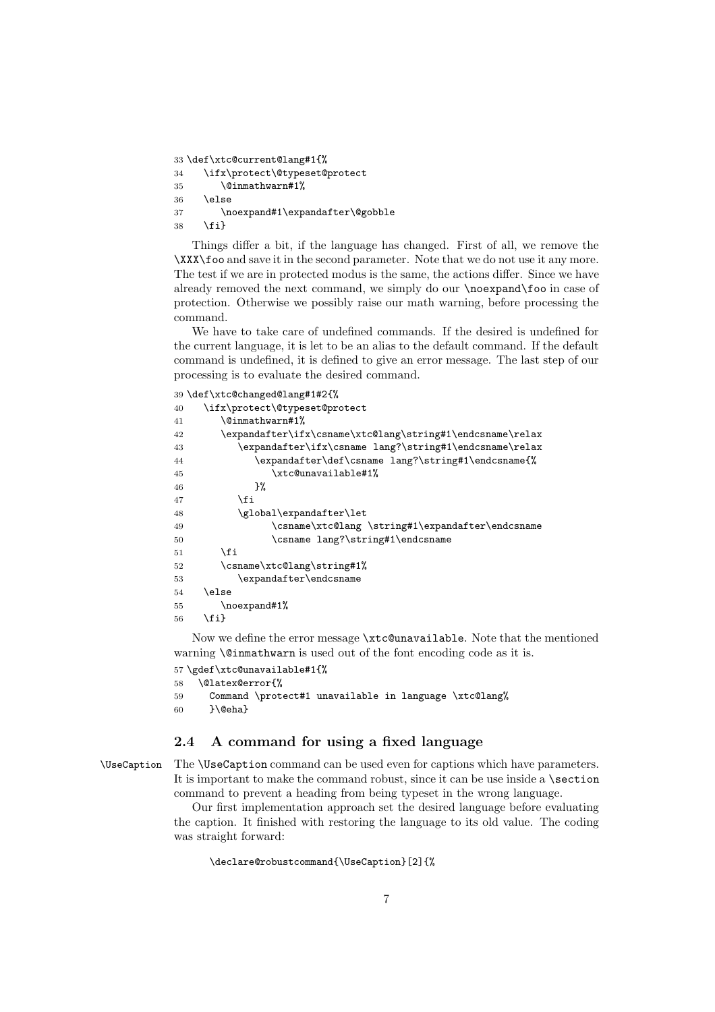```
33 \def\xtc@current@lang#1{%
```

```
34 \ifx\protect\@typeset@protect
35 \@inmathwarn#1%
36 \else
37 \noexpand#1\expandafter\@gobble
38 \fi}
```
Things differ a bit, if the language has changed. First of all, we remove the \XXX\foo and save it in the second parameter. Note that we do not use it any more. The test if we are in protected modus is the same, the actions differ. Since we have already removed the next command, we simply do our \noexpand\foo in case of protection. Otherwise we possibly raise our math warning, before processing the command.

We have to take care of undefined commands. If the desired is undefined for the current language, it is let to be an alias to the default command. If the default command is undefined, it is defined to give an error message. The last step of our processing is to evaluate the desired command.

#### 39 \def\xtc@changed@lang#1#2{%

| 40 | \ifx\protect\@typeset@protect                             |
|----|-----------------------------------------------------------|
| 41 | <b>\@inmathwarn#1%</b>                                    |
| 42 | \expandafter\ifx\csname\xtc@lang\string#1\endcsname\relax |
| 43 | \expandafter\ifx\csname lang?\string#1\endcsname\relax    |
| 44 | \expandafter\def\csname lang?\string#1\endcsname{%        |
| 45 | \xtc@unavailable#1%                                       |
| 46 | }‰                                                        |
| 47 | <b>\fi</b>                                                |
| 48 | \global\expandafter\let                                   |
| 49 | \csname\xtc@lang \string#1\expandafter\endcsname          |
| 50 | \csname lang?\string#1\endcsname                          |
| 51 | \fi                                                       |
| 52 | \csname\xtc@lang\string#1%                                |
| 53 | \expandafter\endcsname                                    |
| 54 | \else                                                     |
| 55 | \noexpand#1%                                              |
| 56 | \fi}                                                      |

Now we define the error message \xtc@unavailable. Note that the mentioned warning \@inmathwarn is used out of the font encoding code as it is.

```
57 \gdef\xtc@unavailable#1{%
```

```
58 \@latex@error{%
59 Command \protect#1 unavailable in language \xtc@lang%
60 }\@eha}
```
# **2.4 A command for using a fixed language**

\UseCaption The \UseCaption command can be used even for captions which have parameters. It is important to make the command robust, since it can be use inside a  $\setminus$  section command to prevent a heading from being typeset in the wrong language.

> Our first implementation approach set the desired language before evaluating the caption. It finished with restoring the language to its old value. The coding was straight forward:

\declare@robustcommand{\UseCaption}[2]{%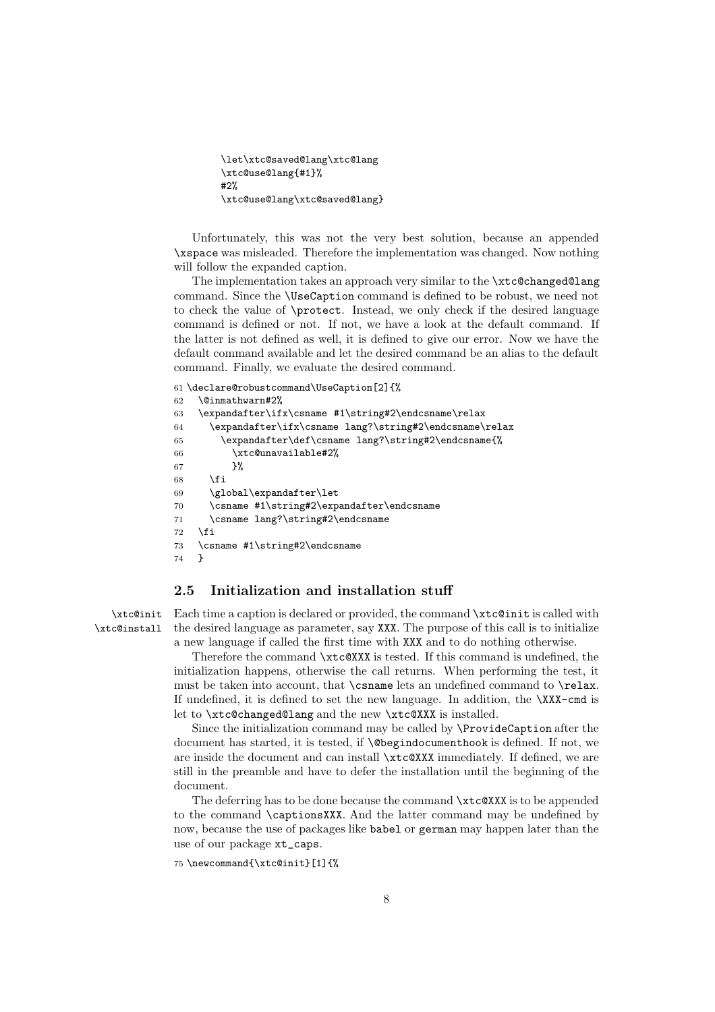```
\let\xtc@saved@lang\xtc@lang
\xtc@use@lang{#1}%
#2%
\xtc@use@lang\xtc@saved@lang}
```
Unfortunately, this was not the very best solution, because an appended \xspace was misleaded. Therefore the implementation was changed. Now nothing will follow the expanded caption.

The implementation takes an approach very similar to the \xtc@changed@lang command. Since the \UseCaption command is defined to be robust, we need not to check the value of \protect. Instead, we only check if the desired language command is defined or not. If not, we have a look at the default command. If the latter is not defined as well, it is defined to give our error. Now we have the default command available and let the desired command be an alias to the default command. Finally, we evaluate the desired command.

```
61 \declare@robustcommand\UseCaption[2]{%
62 \@inmathwarn#2%
63 \expandafter\ifx\csname #1\string#2\endcsname\relax
64 \expandafter\ifx\csname lang?\string#2\endcsname\relax
65 \expandafter\def\csname lang?\string#2\endcsname{%
66 \xtc@unavailable#2%
67 }%
68 \setminusfi
69 \global\expandafter\let
70 \csname #1\string#2\expandafter\endcsname
71 \csname lang?\string#2\endcsname
72 \fi
73 \csname #1\string#2\endcsname
74 }
```
## **2.5 Initialization and installation stuff**

\xtc@init \xtc@install

Each time a caption is declared or provided, the command \xtc@init is called with the desired language as parameter, say XXX. The purpose of this call is to initialize a new language if called the first time with XXX and to do nothing otherwise.

Therefore the command \xtc@XXX is tested. If this command is undefined, the initialization happens, otherwise the call returns. When performing the test, it must be taken into account, that \csname lets an undefined command to \relax. If undefined, it is defined to set the new language. In addition, the  $\XXX$ -cmd is let to \xtc@changed@lang and the new \xtc@XXX is installed.

Since the initialization command may be called by \ProvideCaption after the document has started, it is tested, if \@begindocumenthook is defined. If not, we are inside the document and can install \xtc@XXX immediately. If defined, we are still in the preamble and have to defer the installation until the beginning of the document.

The deferring has to be done because the command \xtc@XXX is to be appended to the command \captionsXXX. And the latter command may be undefined by now, because the use of packages like babel or german may happen later than the use of our package xt\_caps.

75 \newcommand{\xtc@init}[1]{%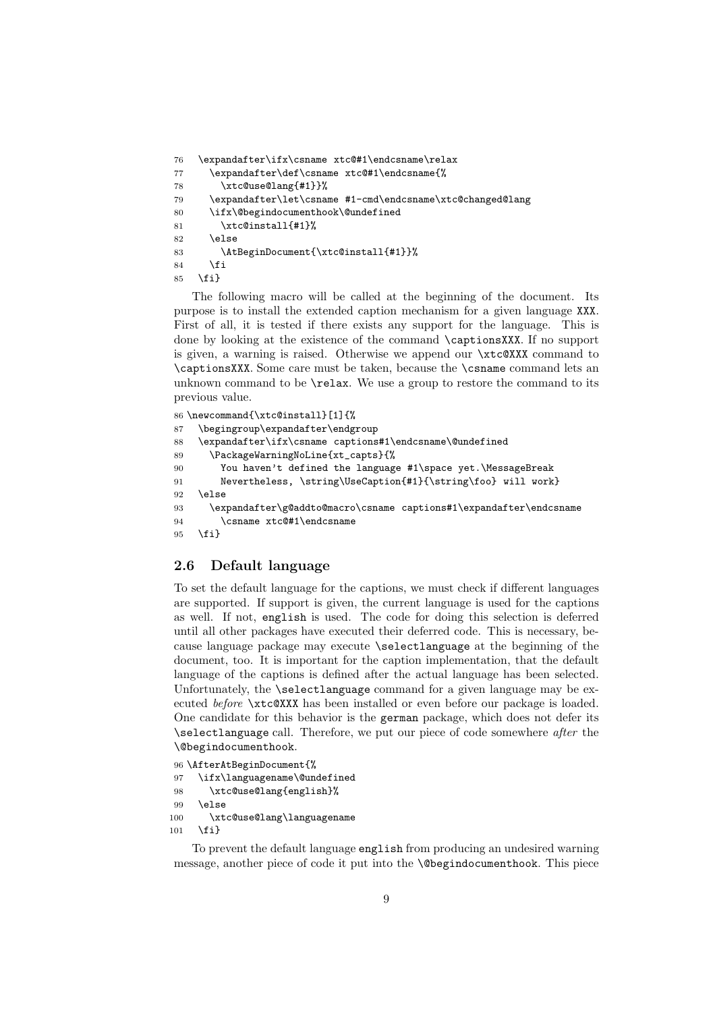```
76 \expandafter\ifx\csname xtc@#1\endcsname\relax
77 \expandafter\def\csname xtc@#1\endcsname{%
78 \xtc@use@lang{#1}}%
79 \expandafter\let\csname #1-cmd\endcsname\xtc@changed@lang
80 \ifx\@begindocumenthook\@undefined
81 \xtc@install{#1}%
82 \else
83 \AtBeginDocument{\xtc@install{#1}}%
84 \fi
85 \fi}
```
The following macro will be called at the beginning of the document. Its purpose is to install the extended caption mechanism for a given language XXX. First of all, it is tested if there exists any support for the language. This is done by looking at the existence of the command \captionsXXX. If no support is given, a warning is raised. Otherwise we append our \xtc@XXX command to \captionsXXX. Some care must be taken, because the \csname command lets an unknown command to be \relax. We use a group to restore the command to its previous value.

```
86 \newcommand{\xtc@install}[1]{%
87 \begingroup\expandafter\endgroup
88 \expandafter\ifx\csname captions#1\endcsname\@undefined
89 \PackageWarningNoLine{xt_capts}{%
90 You haven't defined the language #1\space yet.\MessageBreak
91 Nevertheless, \string\UseCaption{#1}{\string\foo} will work}
92 \else
93 \expandafter\g@addto@macro\csname captions#1\expandafter\endcsname
94 \csname xtc@#1\endcsname
95 \fi}
```
## **2.6 Default language**

To set the default language for the captions, we must check if different languages are supported. If support is given, the current language is used for the captions as well. If not, english is used. The code for doing this selection is deferred until all other packages have executed their deferred code. This is necessary, because language package may execute \selectlanguage at the beginning of the document, too. It is important for the caption implementation, that the default language of the captions is defined after the actual language has been selected. Unfortunately, the **\selectlanguage** command for a given language may be executed *before* \xtc@XXX has been installed or even before our package is loaded. One candidate for this behavior is the german package, which does not defer its \selectlanguage call. Therefore, we put our piece of code somewhere *after* the \@begindocumenthook.

```
96 \AfterAtBeginDocument{%
97 \ifx\languagename\@undefined
98 \xtc@use@lang{english}%
99 \else
100 \xtc@use@lang\languagename
101 \fi}
```
To prevent the default language english from producing an undesired warning message, another piece of code it put into the \@begindocumenthook. This piece